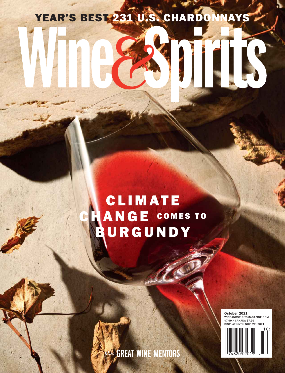# YEAR'S BEST 231 U.S. CHARDONNAYS

# **CLIMATE** ANGE COMES TO URGUNDY

**October 2021** WINEANDSPIRITSMAGAZINE.COM \$7.99 / CANADA \$7.99 DISPLAY UNTIL NOV. 22, 2021



*plus* GREAT WINE MENTORS